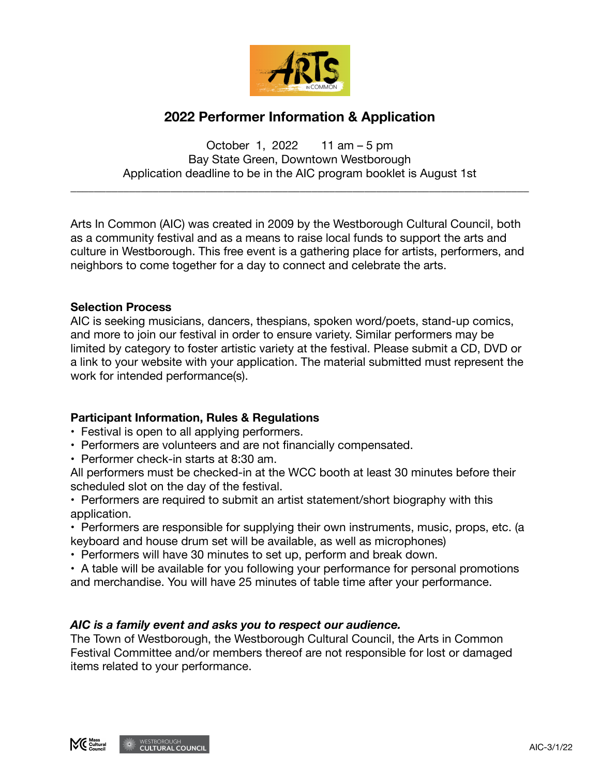

# **2022 Performer Information & Application**

October 1, 2022 11 am – 5 pm Bay State Green, Downtown Westborough Application deadline to be in the AIC program booklet is August 1st

\_\_\_\_\_\_\_\_\_\_\_\_\_\_\_\_\_\_\_\_\_\_\_\_\_\_\_\_\_\_\_\_\_\_\_\_\_\_\_\_\_\_\_\_\_\_\_\_\_\_\_\_\_\_\_\_\_\_\_\_\_\_\_\_\_\_\_\_\_\_\_\_\_\_\_\_\_\_

Arts In Common (AIC) was created in 2009 by the Westborough Cultural Council, both as a community festival and as a means to raise local funds to support the arts and culture in Westborough. This free event is a gathering place for artists, performers, and neighbors to come together for a day to connect and celebrate the arts.

## **Selection Process**

AIC is seeking musicians, dancers, thespians, spoken word/poets, stand-up comics, and more to join our festival in order to ensure variety. Similar performers may be limited by category to foster artistic variety at the festival. Please submit a CD, DVD or a link to your website with your application. The material submitted must represent the work for intended performance(s).

## **Participant Information, Rules & Regulations**

- Festival is open to all applying performers.
- Performers are volunteers and are not financially compensated.
- Performer check-in starts at 8:30 am.

All performers must be checked-in at the WCC booth at least 30 minutes before their scheduled slot on the day of the festival.

• Performers are required to submit an artist statement/short biography with this application.

• Performers are responsible for supplying their own instruments, music, props, etc. (a keyboard and house drum set will be available, as well as microphones)

• Performers will have 30 minutes to set up, perform and break down.

• A table will be available for you following your performance for personal promotions and merchandise. You will have 25 minutes of table time after your performance.

## *AIC is a family event and asks you to respect our audience.*

The Town of Westborough, the Westborough Cultural Council, the Arts in Common Festival Committee and/or members thereof are not responsible for lost or damaged items related to your performance.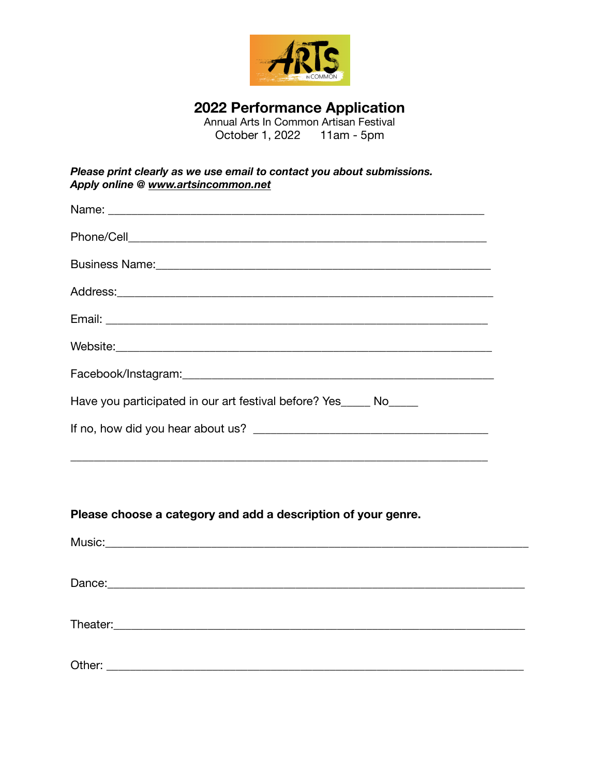

# **2022 Performance Application**

Annual Arts In Common Artisan Festival October 1, 2022 11am - 5pm

| Please print clearly as we use email to contact you about submissions. |
|------------------------------------------------------------------------|
| Apply online @ www.artsincommon.net                                    |

| Name: Name: Name: Name: Name: Name: Name: Name: Name: Name: Name: Name: Name: Name: Name: Name: Name: Name: Name: Name: Name: Name: Name: Name: Name: Name: Name: Name: Name: Name: Name: Name: Name: Name: Name: Name: Name: |
|-------------------------------------------------------------------------------------------------------------------------------------------------------------------------------------------------------------------------------|
|                                                                                                                                                                                                                               |
|                                                                                                                                                                                                                               |
|                                                                                                                                                                                                                               |
|                                                                                                                                                                                                                               |
|                                                                                                                                                                                                                               |
|                                                                                                                                                                                                                               |
| Have you participated in our art festival before? Yes No                                                                                                                                                                      |
|                                                                                                                                                                                                                               |
|                                                                                                                                                                                                                               |
|                                                                                                                                                                                                                               |

## **Please choose a category and add a description of your genre.**

| Other: |  |  |
|--------|--|--|